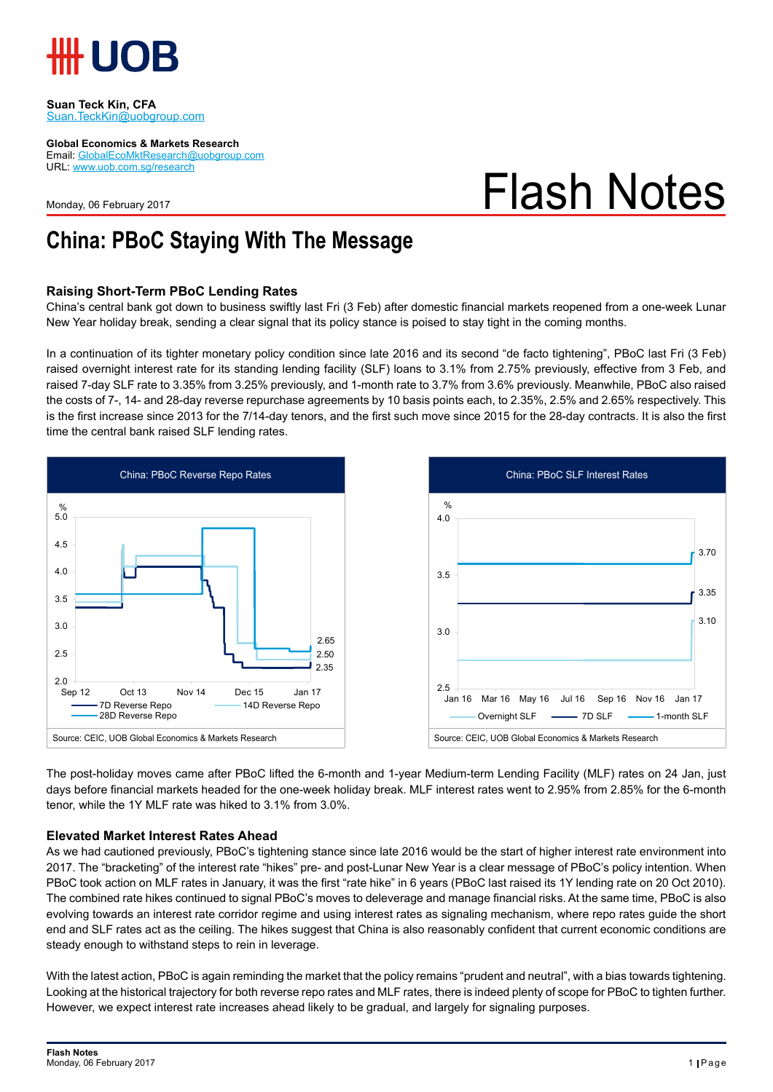

#### **Suan Teck Kin, CFA** Suan.TeckKin@uobgroup.com

**Global Economics & Markets Research**

Email: GlobalEcoMktResearch@uobgroup.com URL: www.uob.com.sg/research

Monday, 06 February 2017

# Flash Notes

### **China: PBoC Staying With The Message**

### **Raising Short-Term PBoC Lending Rates**

China's central bank got down to business swiftly last Fri (3 Feb) after domestic financial markets reopened from a one-week Lunar New Year holiday break, sending a clear signal that its policy stance is poised to stay tight in the coming months.

In a continuation of its tighter monetary policy condition since late 2016 and its second "de facto tightening", PBoC last Fri (3 Feb) raised overnight interest rate for its standing lending facility (SLF) loans to 3.1% from 2.75% previously, effective from 3 Feb, and raised 7-day SLF rate to 3.35% from 3.25% previously, and 1-month rate to 3.7% from 3.6% previously. Meanwhile, PBoC also raised the costs of 7-, 14- and 28-day reverse repurchase agreements by 10 basis points each, to 2.35%, 2.5% and 2.65% respectively. This is the first increase since 2013 for the 7/14-day tenors, and the first such move since 2015 for the 28-day contracts. It is also the first time the central bank raised SLF lending rates.





The post-holiday moves came after PBoC lifted the 6-month and 1-year Medium-term Lending Facility (MLF) rates on 24 Jan, just days before financial markets headed for the one-week holiday break. MLF interest rates went to 2.95% from 2.85% for the 6-month tenor, while the 1Y MLF rate was hiked to 3.1% from 3.0%.

#### **Elevated Market Interest Rates Ahead**

As we had cautioned previously, PBoC's tightening stance since late 2016 would be the start of higher interest rate environment into 2017. The "bracketing" of the interest rate "hikes" pre- and post-Lunar New Year is a clear message of PBoC's policy intention. When PBoC took action on MLF rates in January, it was the first "rate hike" in 6 years (PBoC last raised its 1Y lending rate on 20 Oct 2010). The combined rate hikes continued to signal PBoC's moves to deleverage and manage financial risks. At the same time, PBoC is also evolving towards an interest rate corridor regime and using interest rates as signaling mechanism, where repo rates guide the short end and SLF rates act as the ceiling. The hikes suggest that China is also reasonably confident that current economic conditions are steady enough to withstand steps to rein in leverage.

With the latest action, PBoC is again reminding the market that the policy remains "prudent and neutral", with a bias towards tightening. Looking at the historical trajectory for both reverse repo rates and MLF rates, there is indeed plenty of scope for PBoC to tighten further. However, we expect interest rate increases ahead likely to be gradual, and largely for signaling purposes.